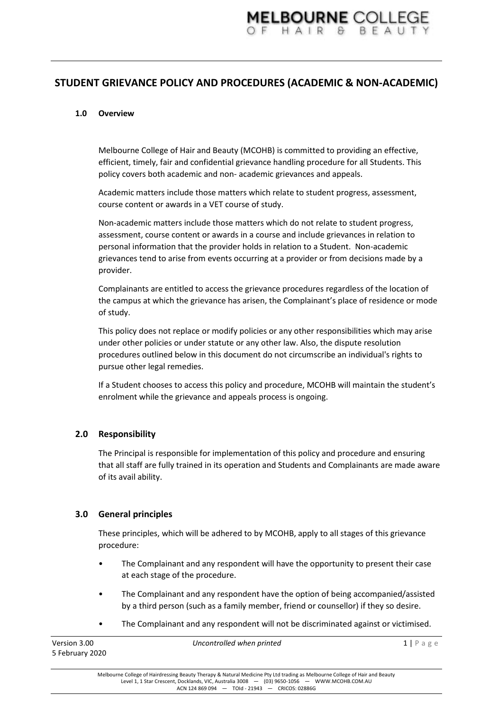# **STUDENT GRIEVANCE POLICY AND PROCEDURES (ACADEMIC & NON-ACADEMIC)**

## **1.0 Overview**

Melbourne College of Hair and Beauty (MCOHB) is committed to providing an effective, efficient, timely, fair and confidential grievance handling procedure for all Students. This policy covers both academic and non- academic grievances and appeals.

Academic matters include those matters which relate to student progress, assessment, course content or awards in a VET course of study.

Non-academic matters include those matters which do not relate to student progress, assessment, course content or awards in a course and include grievances in relation to personal information that the provider holds in relation to a Student. Non-academic grievances tend to arise from events occurring at a provider or from decisions made by a provider.

Complainants are entitled to access the grievance procedures regardless of the location of the campus at which the grievance has arisen, the Complainant's place of residence or mode of study.

This policy does not replace or modify policies or any other responsibilities which may arise under other policies or under statute or any other law. Also, the dispute resolution procedures outlined below in this document do not circumscribe an individual's rights to pursue other legal remedies.

If a Student chooses to access this policy and procedure, MCOHB will maintain the student's enrolment while the grievance and appeals process is ongoing.

#### **2.0 Responsibility**

The Principal is responsible for implementation of this policy and procedure and ensuring that all staff are fully trained in its operation and Students and Complainants are made aware of its avail ability.

## **3.0 General principles**

These principles, which will be adhered to by MCOHB, apply to all stages of this grievance procedure:

- The Complainant and any respondent will have the opportunity to present their case at each stage of the procedure.
- The Complainant and any respondent have the option of being accompanied/assisted by a third person (such as a family member, friend or counsellor) if they so desire.
- The Complainant and any respondent will not be discriminated against or victimised.

| Version 3.00    | Uncontrolled when printed | $1$   Page |
|-----------------|---------------------------|------------|
| 5 February 2020 |                           |            |
|                 |                           |            |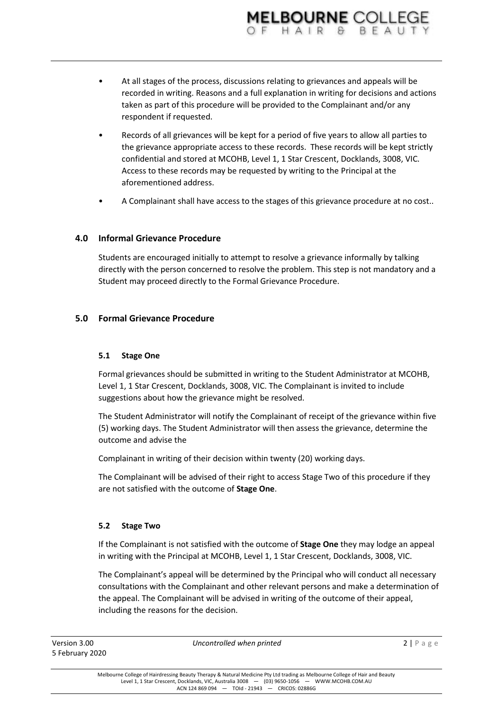- At all stages of the process, discussions relating to grievances and appeals will be recorded in writing. Reasons and a full explanation in writing for decisions and actions taken as part of this procedure will be provided to the Complainant and/or any respondent if requested.
- Records of all grievances will be kept for a period of five years to allow all parties to the grievance appropriate access to these records. These records will be kept strictly confidential and stored at MCOHB, Level 1, 1 Star Crescent, Docklands, 3008, VIC. Access to these records may be requested by writing to the Principal at the aforementioned address.
- A Complainant shall have access to the stages of this grievance procedure at no cost..

# **4.0 Informal Grievance Procedure**

Students are encouraged initially to attempt to resolve a grievance informally by talking directly with the person concerned to resolve the problem. This step is not mandatory and a Student may proceed directly to the Formal Grievance Procedure.

## **5.0 Formal Grievance Procedure**

## **5.1 Stage One**

Formal grievances should be submitted in writing to the Student Administrator at MCOHB, Level 1, 1 Star Crescent, Docklands, 3008, VIC. The Complainant is invited to include suggestions about how the grievance might be resolved.

The Student Administrator will notify the Complainant of receipt of the grievance within five (5) working days. The Student Administrator will then assess the grievance, determine the outcome and advise the

Complainant in writing of their decision within twenty (20) working days.

The Complainant will be advised of their right to access Stage Two of this procedure if they are not satisfied with the outcome of **Stage One**.

## **5.2 Stage Two**

If the Complainant is not satisfied with the outcome of **Stage One** they may lodge an appeal in writing with the Principal at MCOHB, Level 1, 1 Star Crescent, Docklands, 3008, VIC.

The Complainant's appeal will be determined by the Principal who will conduct all necessary consultations with the Complainant and other relevant persons and make a determination of the appeal. The Complainant will be advised in writing of the outcome of their appeal, including the reasons for the decision.